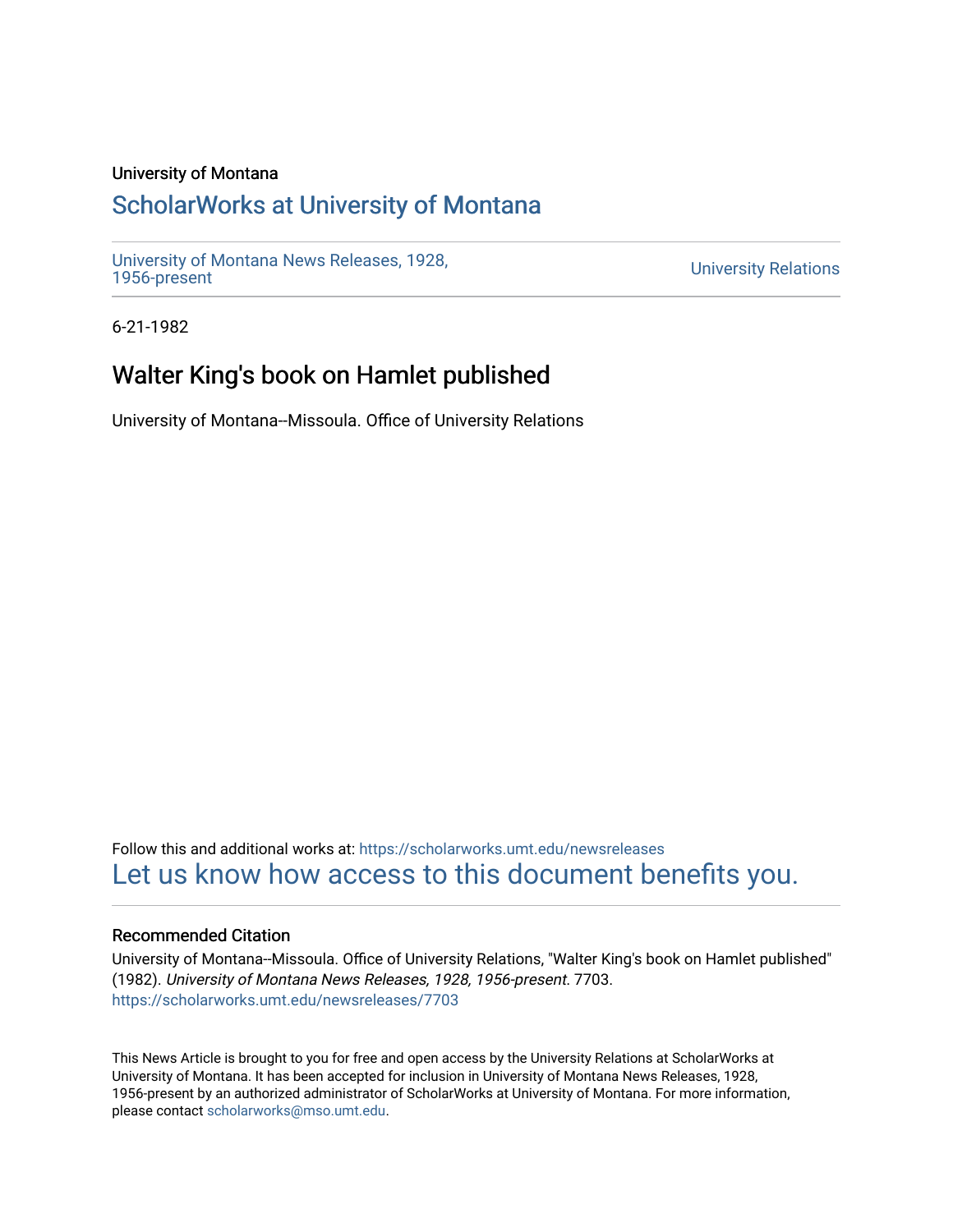### University of Montana

# [ScholarWorks at University of Montana](https://scholarworks.umt.edu/)

[University of Montana News Releases, 1928,](https://scholarworks.umt.edu/newsreleases) 

**University Relations** 

6-21-1982

# Walter King's book on Hamlet published

University of Montana--Missoula. Office of University Relations

Follow this and additional works at: [https://scholarworks.umt.edu/newsreleases](https://scholarworks.umt.edu/newsreleases?utm_source=scholarworks.umt.edu%2Fnewsreleases%2F7703&utm_medium=PDF&utm_campaign=PDFCoverPages) [Let us know how access to this document benefits you.](https://goo.gl/forms/s2rGfXOLzz71qgsB2) 

#### Recommended Citation

University of Montana--Missoula. Office of University Relations, "Walter King's book on Hamlet published" (1982). University of Montana News Releases, 1928, 1956-present. 7703. [https://scholarworks.umt.edu/newsreleases/7703](https://scholarworks.umt.edu/newsreleases/7703?utm_source=scholarworks.umt.edu%2Fnewsreleases%2F7703&utm_medium=PDF&utm_campaign=PDFCoverPages) 

This News Article is brought to you for free and open access by the University Relations at ScholarWorks at University of Montana. It has been accepted for inclusion in University of Montana News Releases, 1928, 1956-present by an authorized administrator of ScholarWorks at University of Montana. For more information, please contact [scholarworks@mso.umt.edu.](mailto:scholarworks@mso.umt.edu)